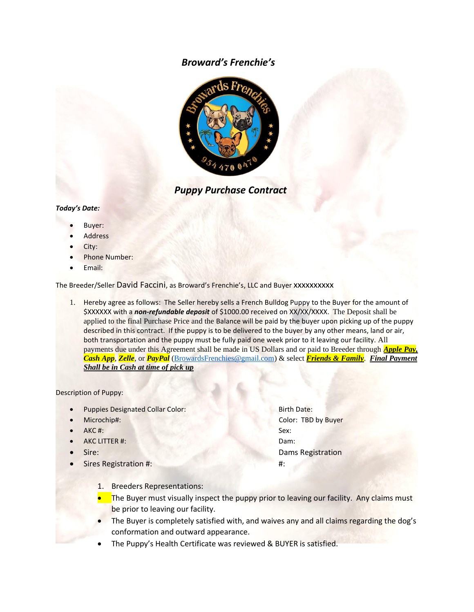## *Broward's Frenchie's*



 *Puppy Purchase Contract*

## *Today's Date:*

- Buyer:
- **Address**
- City:
- Phone Number:
- Email:

The Breeder/Seller David Faccini, as Broward's Frenchie's, LLC and Buyer xxxxxxxxxx

1. Hereby agree as follows: The Seller hereby sells a French Bulldog Puppy to the Buyer for the amount of \$XXXXXX with a *non-refundable deposit* of \$1000.00 received on XX/XX/XXXX. The Deposit shall be applied to the final Purchase Price and the Balance will be paid by the buyer upon picking up of the puppy described in this contract. If the puppy is to be delivered to the buyer by any other means, land or air, both transportation and the puppy must be fully paid one week prior to it leaving our facility. All payments due under this Agreement shall be made in US Dollars and or paid to Breeder through *Apple Pay, Cash App*, *Zelle*, or *PayPal* (BrowardsFrenchies@gmail.com) & select *Friends & Family*. *Final Payment Shall be in Cash at time of pick up*

Description of Puppy:

- Puppies Designated Collar Color: Birth Date:
- 
- AKC #: Sex:
- AKC LITTER #: Dam:
- 
- Sires Registration #: #:

• Microchip#: Color: TBD by Buyer **Fire:** Dams Registration

- 1. Breeders Representations:
- The Buyer must visually inspect the puppy prior to leaving our facility. Any claims must be prior to leaving our facility.
- The Buyer is completely satisfied with, and waives any and all claims regarding the dog's conformation and outward appearance.
- The Puppy's Health Certificate was reviewed & BUYER is satisfied.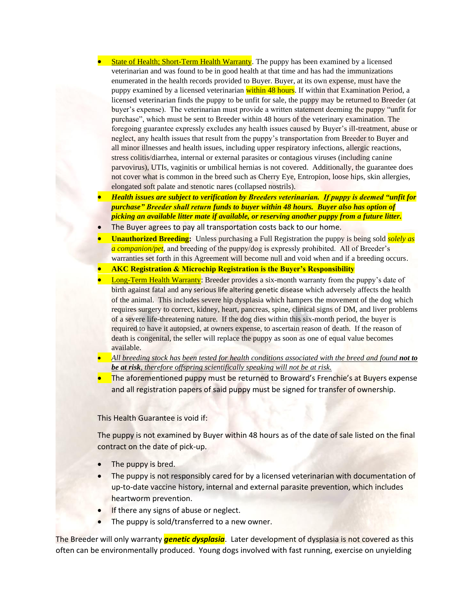- State of Health; Short-Term Health Warranty. The puppy has been examined by a licensed veterinarian and was found to be in good health at that time and has had the immunizations enumerated in the health records provided to Buyer. Buyer, at its own expense, must have the puppy examined by a licensed veterinarian within 48 hours. If within that Examination Period, a licensed veterinarian finds the puppy to be unfit for sale, the puppy may be returned to Breeder (at buyer's expense). The veterinarian must provide a written statement deeming the puppy "unfit for purchase", which must be sent to Breeder within 48 hours of the veterinary examination. The foregoing guarantee expressly excludes any health issues caused by Buyer's ill-treatment, abuse or neglect, any health issues that result from the puppy's transportation from Breeder to Buyer and all minor illnesses and health issues, including upper respiratory infections, allergic reactions, stress colitis/diarrhea, internal or external parasites or contagious viruses (including canine parvovirus), UTIs, vaginitis or umbilical hernias is not covered. Additionally, the guarantee does not cover what is common in the breed such as Cherry Eye, Entropion, loose hips, skin allergies, elongated soft palate and stenotic nares (collapsed nostrils).
- *Health issues are subject to verification by Breeders veterinarian. If puppy is deemed "unfit for purchase" Breeder shall return funds to buyer within 48 hours. Buyer also has option of picking an available litter mate if available, or reserving another puppy from a future litter.*
- The Buyer agrees to pay all transportation costs back to our home.
- **Unauthorized Breeding:** Unless purchasing a Full Registration the puppy is being sold *solely as a companion/pet,* and breeding of the puppy/dog is expressly prohibited. All of Breeder's warranties set forth in this Agreement will become null and void when and if a breeding occurs.
- **AKC Registration & Microchip Registration is the Buyer's Responsibility**
- Long-Term Health Warranty: Breeder provides a six-month warranty from the puppy's date of birth against fatal and any serious life altering genetic disease which adversely affects the health of the animal. This includes severe hip dysplasia which hampers the movement of the dog which requires surgery to correct, kidney, heart, pancreas, spine, clinical signs of DM, and liver problems of a severe life-threatening nature. If the dog dies within this six-month period, the buyer is required to have it autopsied, at owners expense, to ascertain reason of death. If the reason of death is congenital, the seller will replace the puppy as soon as one of equal value becomes available.
- *All breeding stock has been tested for health conditions associated with the breed and found not to be at risk, therefore offspring scientifically speaking will not be at risk.*
- The aforementioned puppy must be returned to Broward's Frenchie's at Buyers expense and all registration papers of said puppy must be signed for transfer of ownership.

This Health Guarantee is void if:

The puppy is not examined by Buyer within 48 hours as of the date of sale listed on the final contract on the date of pick-up.

- The puppy is bred.
- The puppy is not responsibly cared for by a licensed veterinarian with documentation of up-to-date vaccine history, internal and external parasite prevention, which includes heartworm prevention.
- If there any signs of abuse or neglect.
- The puppy is sold/transferred to a new owner.

The Breeder will only warranty *genetic dysplasia*. Later development of dysplasia is not covered as this often can be environmentally produced. Young dogs involved with fast running, exercise on unyielding